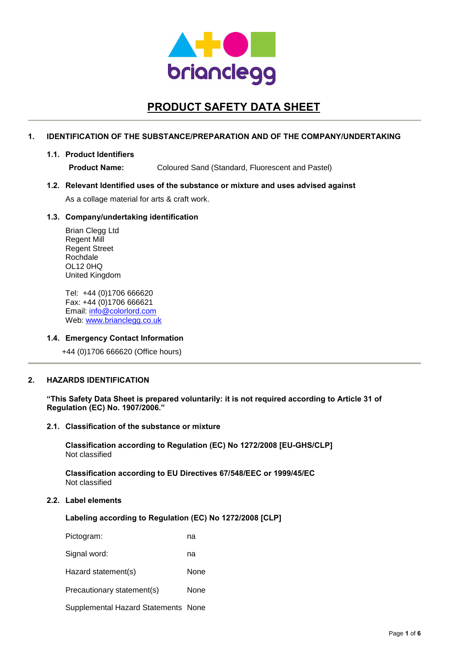

# **PRODUCT SAFETY DATA SHEET**

# **1. IDENTIFICATION OF THE SUBSTANCE/PREPARATION AND OF THE COMPANY/UNDERTAKING**

### **1.1. Product Identifiers**

**Product Name:** Coloured Sand (Standard, Fluorescent and Pastel)

### **1.2. Relevant Identified uses of the substance or mixture and uses advised against**

As a collage material for arts & craft work.

# **1.3. Company/undertaking identification**

Brian Clegg Ltd Regent Mill Regent Street Rochdale OL12 0HQ United Kingdom

Tel: +44 (0)1706 666620 Fax: +44 (0)1706 666621 Email: info@colorlord.com Web: www.brianclegg.co.uk

# **1.4. Emergency Contact Information**

+44 (0)1706 666620 (Office hours)

# **2. HAZARDS IDENTIFICATION**

**"This Safety Data Sheet is prepared voluntarily: it is not required according to Article 31 of Regulation (EC) No. 1907/2006."**

### **2.1. Classification of the substance or mixture**

**Classification according to Regulation (EC) No 1272/2008 [EU-GHS/CLP]** Not classified

**Classification according to EU Directives 67/548/EEC or 1999/45/EC** Not classified

# **2.2. Label elements**

**Labeling according to Regulation (EC) No 1272/2008 [CLP]**

| Pictogram:                          | na   |
|-------------------------------------|------|
| Signal word:                        | na   |
| Hazard statement(s)                 | None |
| Precautionary statement(s)          | None |
| Supplemental Hazard Statements None |      |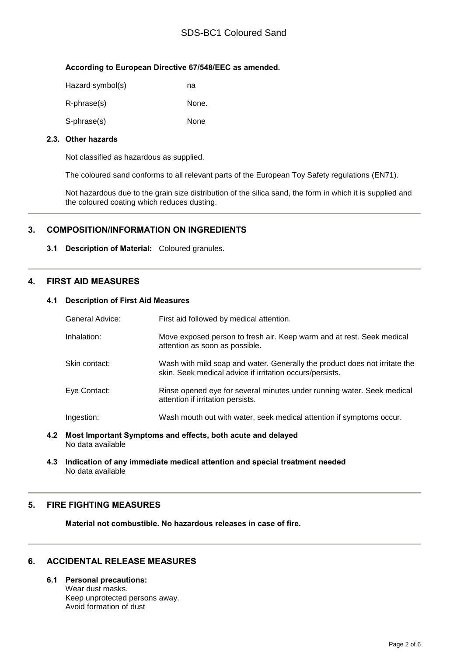# SDS-BC1 Coloured Sand

# **According to European Directive 67/548/EEC as amended.**

| Hazard symbol(s) | na    |
|------------------|-------|
| R-phrase(s)      | None. |
| S-phrase(s)      | None  |

# **2.3. Other hazards**

Not classified as hazardous as supplied.

The coloured sand conforms to all relevant parts of the European Toy Safety regulations (EN71).

Not hazardous due to the grain size distribution of the silica sand, the form in which it is supplied and the coloured coating which reduces dusting.

# **3. COMPOSITION/INFORMATION ON INGREDIENTS**

**3.1 Description of Material:** Coloured granules.

# **4. FIRST AID MEASURES**

# **4.1 Description of First Aid Measures**

| General Advice: | First aid followed by medical attention.                                                                                               |
|-----------------|----------------------------------------------------------------------------------------------------------------------------------------|
| Inhalation:     | Move exposed person to fresh air. Keep warm and at rest. Seek medical<br>attention as soon as possible.                                |
| Skin contact:   | Wash with mild soap and water. Generally the product does not irritate the<br>skin. Seek medical advice if irritation occurs/persists. |
| Eye Contact:    | Rinse opened eye for several minutes under running water. Seek medical<br>attention if irritation persists.                            |
| Ingestion:      | Wash mouth out with water, seek medical attention if symptoms occur.                                                                   |

- **4.2 Most Important Symptoms and effects, both acute and delayed** No data available
- **4.3 Indication of any immediate medical attention and special treatment needed** No data available

# **5. FIRE FIGHTING MEASURES**

**Material not combustible. No hazardous releases in case of fire.**

# **6. ACCIDENTAL RELEASE MEASURES**

**6.1 Personal precautions:**

Wear dust masks. Keep unprotected persons away. Avoid formation of dust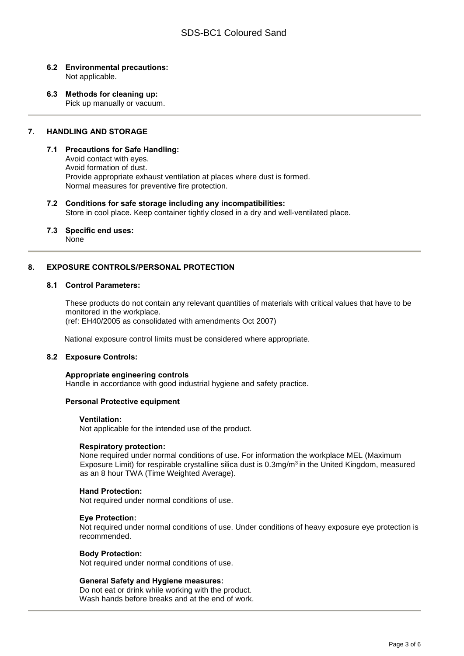## **6.2 Environmental precautions:** Not applicable.

**6.3 Methods for cleaning up:** Pick up manually or vacuum.

# **7. HANDLING AND STORAGE**

### **7.1 Precautions for Safe Handling:**

Avoid contact with eyes. Avoid formation of dust. Provide appropriate exhaust ventilation at places where dust is formed. Normal measures for preventive fire protection.

# **7.2 Conditions for safe storage including any incompatibilities:**

Store in cool place. Keep container tightly closed in a dry and well-ventilated place.

# **7.3 Specific end uses:**

None

# **8. EXPOSURE CONTROLS/PERSONAL PROTECTION**

# **8.1 Control Parameters:**

These products do not contain any relevant quantities of materials with critical values that have to be monitored in the workplace.

(ref: EH40/2005 as consolidated with amendments Oct 2007)

National exposure control limits must be considered where appropriate.

### **8.2 Exposure Controls:**

### **Appropriate engineering controls**

Handle in accordance with good industrial hygiene and safety practice.

#### **Personal Protective equipment**

#### **Ventilation:**

Not applicable for the intended use of the product.

### **Respiratory protection:**

None required under normal conditions of use. For information the workplace MEL (Maximum Exposure Limit) for respirable crystalline silica dust is 0.3mg/m3 in the United Kingdom, measured as an 8 hour TWA (Time Weighted Average).

#### **Hand Protection:**

Not required under normal conditions of use.

#### **Eye Protection:**

Not required under normal conditions of use. Under conditions of heavy exposure eye protection is recommended.

#### **Body Protection:**

Not required under normal conditions of use.

#### **General Safety and Hygiene measures:**

Do not eat or drink while working with the product. Wash hands before breaks and at the end of work.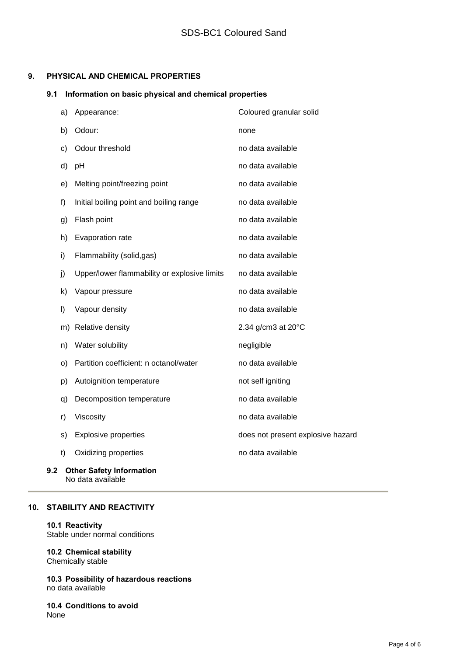# **9. PHYSICAL AND CHEMICAL PROPERTIES**

# **9.1 Information on basic physical and chemical properties**

| a) | Appearance:                                  | Coloured granular solid           |
|----|----------------------------------------------|-----------------------------------|
| b) | Odour:                                       | none                              |
| c) | Odour threshold                              | no data available                 |
| d) | pH                                           | no data available                 |
| e) | Melting point/freezing point                 | no data available                 |
| f) | Initial boiling point and boiling range      | no data available                 |
| g) | Flash point                                  | no data available                 |
| h) | Evaporation rate                             | no data available                 |
| i) | Flammability (solid,gas)                     | no data available                 |
| j) | Upper/lower flammability or explosive limits | no data available                 |
| k) | Vapour pressure                              | no data available                 |
| I) | Vapour density                               | no data available                 |
| m) | Relative density                             | 2.34 g/cm3 at 20°C                |
| n) | Water solubility                             | negligible                        |
| O) | Partition coefficient: n octanol/water       | no data available                 |
| p) | Autoignition temperature                     | not self igniting                 |
| q) | Decomposition temperature                    | no data available                 |
| r) | Viscosity                                    | no data available                 |
| s) | <b>Explosive properties</b>                  | does not present explosive hazard |
| t) | Oxidizing properties                         | no data available                 |
|    |                                              |                                   |

## **9.2 Other Safety Information** No data available

# **10. STABILITY AND REACTIVITY**

# **10.1 Reactivity**

Stable under normal conditions

## **10.2 Chemical stability** Chemically stable

**10.3 Possibility of hazardous reactions** no data available

**10.4 Conditions to avoid** None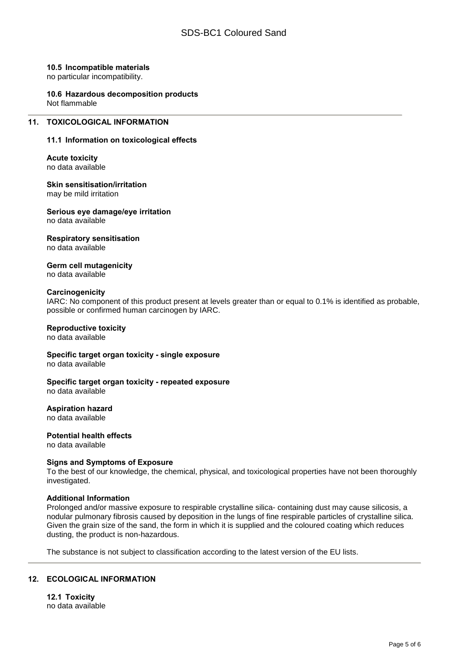## **10.5 Incompatible materials**

no particular incompatibility.

#### **10.6 Hazardous decomposition products** Not flammable

# **11. TOXICOLOGICAL INFORMATION**

# **11.1 Information on toxicological effects**

**Acute toxicity** no data available

**Skin sensitisation/irritation** may be mild irritation

**Serious eye damage/eye irritation** no data available

# **Respiratory sensitisation**

no data available

**Germ cell mutagenicity** no data available

### **Carcinogenicity**

IARC: No component of this product present at levels greater than or equal to 0.1% is identified as probable, possible or confirmed human carcinogen by IARC.

# **Reproductive toxicity**

no data available

**Specific target organ toxicity - single exposure** no data available

### **Specific target organ toxicity - repeated exposure** no data available

**Aspiration hazard**

no data available

**Potential health effects** no data available

### **Signs and Symptoms of Exposure**

To the best of our knowledge, the chemical, physical, and toxicological properties have not been thoroughly investigated.

# **Additional Information**

Prolonged and/or massive exposure to respirable crystalline silica- containing dust may cause silicosis, a nodular pulmonary fibrosis caused by deposition in the lungs of fine respirable particles of crystalline silica. Given the grain size of the sand, the form in which it is supplied and the coloured coating which reduces dusting, the product is non-hazardous.

The substance is not subject to classification according to the latest version of the EU lists.

# **12. ECOLOGICAL INFORMATION**

**12.1 Toxicity** no data available